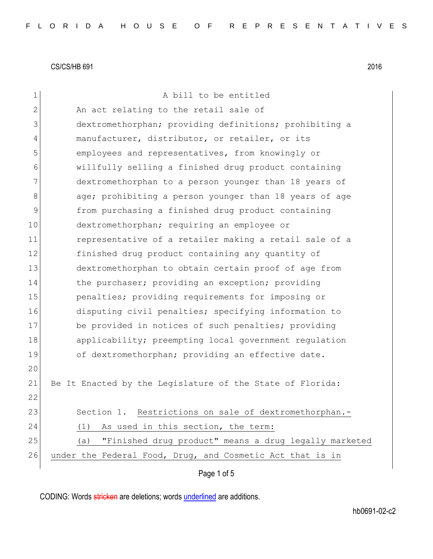| 1            | A bill to be entitled                                        |
|--------------|--------------------------------------------------------------|
| $\mathbf{2}$ | An act relating to the retail sale of                        |
| 3            | dextromethorphan; providing definitions; prohibiting a       |
| 4            | manufacturer, distributor, or retailer, or its               |
| 5            | employees and representatives, from knowingly or             |
| 6            | willfully selling a finished drug product containing         |
| 7            | dextromethorphan to a person younger than 18 years of        |
| 8            | age; prohibiting a person younger than 18 years of age       |
| 9            | from purchasing a finished drug product containing           |
| 10           | dextromethorphan; requiring an employee or                   |
| 11           | representative of a retailer making a retail sale of a       |
| 12           | finished drug product containing any quantity of             |
| 13           | dextromethorphan to obtain certain proof of age from         |
| 14           | the purchaser; providing an exception; providing             |
| 15           | penalties; providing requirements for imposing or            |
| 16           | disputing civil penalties; specifying information to         |
| 17           | be provided in notices of such penalties; providing          |
| 18           | applicability; preempting local government regulation        |
| 19           | of dextromethorphan; providing an effective date.            |
| 20           |                                                              |
| 21           | Be It Enacted by the Legislature of the State of Florida:    |
| 22           |                                                              |
| 23           | Section 1. Restrictions on sale of dextromethorphan.-        |
| 24           | As used in this section, the term:<br>(1)                    |
| 25           | "Finished drug product" means a drug legally marketed<br>(a) |
| 26           | under the Federal Food, Drug, and Cosmetic Act that is in    |
|              | Page 1 of 5                                                  |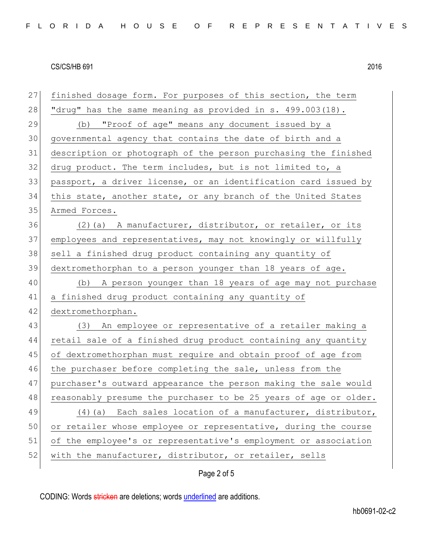27 finished dosage form. For purposes of this section, the term 28 "drug" has the same meaning as provided in s.  $499.003(18)$ . 29 (b) "Proof of age" means any document issued by a 30 governmental agency that contains the date of birth and a 31 description or photograph of the person purchasing the finished  $32$  drug product. The term includes, but is not limited to, a 33 passport, a driver license, or an identification card issued by 34 this state, another state, or any branch of the United States 35 Armed Forces. 36 (2)(a) A manufacturer, distributor, or retailer, or its 37 employees and representatives, may not knowingly or willfully 38 sell a finished drug product containing any quantity of 39 dextromethorphan to a person younger than 18 years of age. 40 (b) A person younger than 18 years of age may not purchase 41 a finished drug product containing any quantity of 42 dextromethorphan. 43 (3) An employee or representative of a retailer making a 44 retail sale of a finished drug product containing any quantity 45 of dextromethorphan must require and obtain proof of age from 46 the purchaser before completing the sale, unless from the 47 purchaser's outward appearance the person making the sale would 48 reasonably presume the purchaser to be 25 years of age or older. 49 (4)(a) Each sales location of a manufacturer, distributor, 50 or retailer whose employee or representative, during the course 51| of the employee's or representative's employment or association 52 with the manufacturer, distributor, or retailer, sells

### Page 2 of 5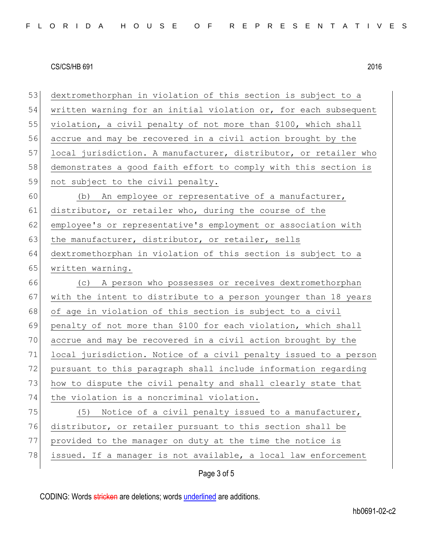53 dextromethorphan in violation of this section is subject to a 54 written warning for an initial violation or, for each subsequent 55 violation, a civil penalty of not more than \$100, which shall 56 accrue and may be recovered in a civil action brought by the 57 local jurisdiction. A manufacturer, distributor, or retailer who 58 demonstrates a good faith effort to comply with this section is 59 not subject to the civil penalty. 60 (b) An employee or representative of a manufacturer, 61 distributor, or retailer who, during the course of the 62 employee's or representative's employment or association with 63 the manufacturer, distributor, or retailer, sells 64 dextromethorphan in violation of this section is subject to a 65 written warning. 66 (c) A person who possesses or receives dextromethorphan 67 with the intent to distribute to a person younger than 18 years 68 of age in violation of this section is subject to a civil 69 penalty of not more than \$100 for each violation, which shall 70 accrue and may be recovered in a civil action brought by the 71 local jurisdiction. Notice of a civil penalty issued to a person 72 pursuant to this paragraph shall include information regarding 73 how to dispute the civil penalty and shall clearly state that 74 the violation is a noncriminal violation. 75 (5) Notice of a civil penalty issued to a manufacturer, 76 distributor, or retailer pursuant to this section shall be 77 provided to the manager on duty at the time the notice is 78 issued. If a manager is not available, a local law enforcement

Page 3 of 5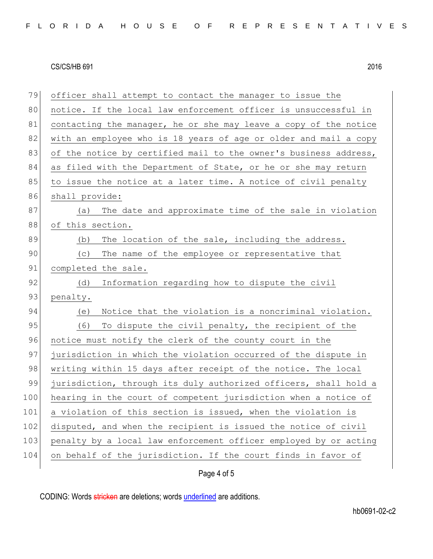| 79  | officer shall attempt to contact the manager to issue the        |
|-----|------------------------------------------------------------------|
| 80  | notice. If the local law enforcement officer is unsuccessful in  |
| 81  | contacting the manager, he or she may leave a copy of the notice |
| 82  | with an employee who is 18 years of age or older and mail a copy |
| 83  | of the notice by certified mail to the owner's business address, |
| 84  | as filed with the Department of State, or he or she may return   |
| 85  | to issue the notice at a later time. A notice of civil penalty   |
| 86  | shall provide:                                                   |
| 87  | The date and approximate time of the sale in violation<br>(a)    |
| 88  | of this section.                                                 |
| 89  | (b)<br>The location of the sale, including the address.          |
| 90  | (c) The name of the employee or representative that              |
| 91  | completed the sale.                                              |
| 92  | Information regarding how to dispute the civil<br>(d)            |
| 93  | penalty.                                                         |
| 94  | Notice that the violation is a noncriminal violation.<br>(e)     |
| 95  | (6)<br>To dispute the civil penalty, the recipient of the        |
| 96  | notice must notify the clerk of the county court in the          |
| 97  | jurisdiction in which the violation occurred of the dispute in   |
| 98  | writing within 15 days after receipt of the notice. The local    |
| 99  | jurisdiction, through its duly authorized officers, shall hold a |
| 100 | hearing in the court of competent jurisdiction when a notice of  |
| 101 | a violation of this section is issued, when the violation is     |
| 102 | disputed, and when the recipient is issued the notice of civil   |
| 103 | penalty by a local law enforcement officer employed by or acting |
| 104 | on behalf of the jurisdiction. If the court finds in favor of    |
|     |                                                                  |

Page 4 of 5